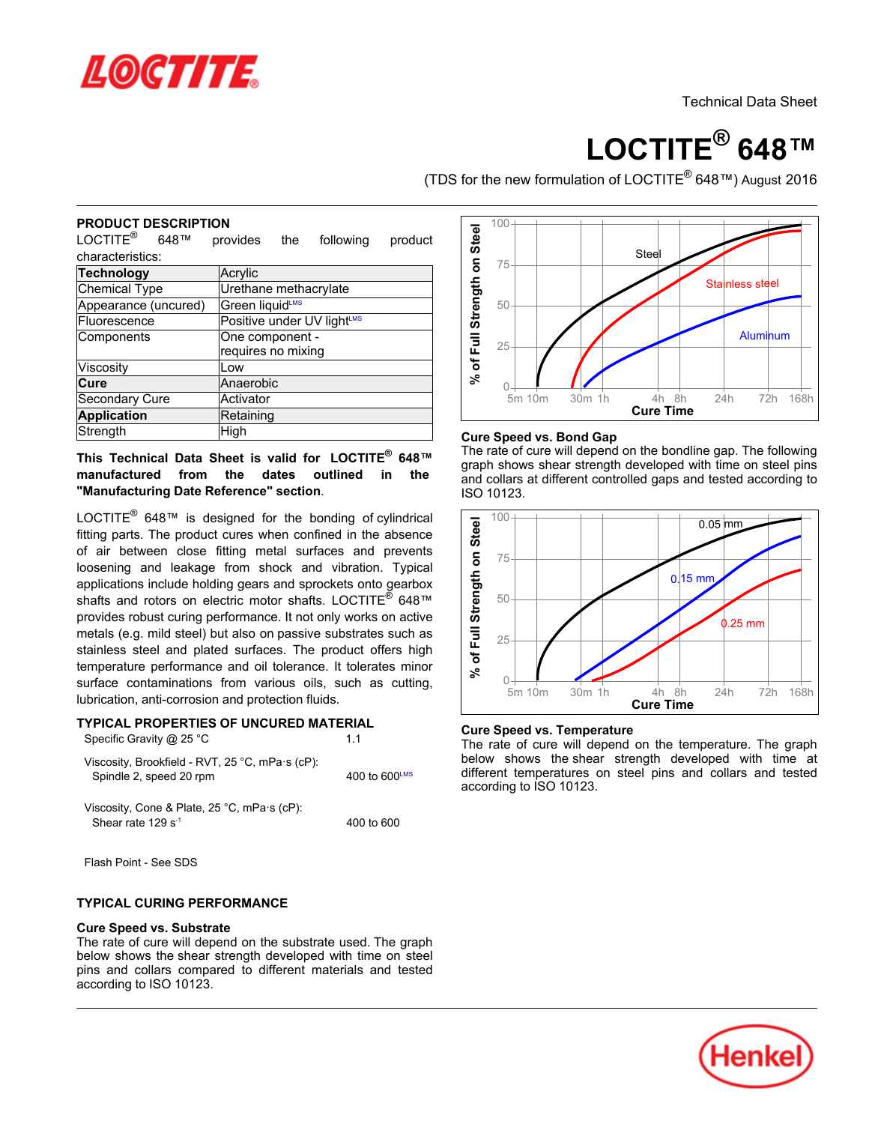

# **LOCTITE® 648™**

(TDS for the new formulation of LOCTITE<sup>®</sup> 648™) August 2016

#### **PRODUCT DESCRIPTION**

LOCTITE® 648™ provides the following product characteristics:

| <b>Technology</b>    | Acrylic                               |
|----------------------|---------------------------------------|
| Chemical Type        | Urethane methacrylate                 |
| Appearance (uncured) | Green liquidLMS                       |
| Fluorescence         | Positive under UV lightLMS            |
| Components           | One component -<br>requires no mixing |
|                      |                                       |
| Viscosity            | Low                                   |
| Cure                 | Anaerobic                             |
| Secondary Cure       | Activator                             |
| <b>Application</b>   | Retaining                             |
| Strength             | High                                  |
|                      |                                       |

**This Technical Data Sheet is valid for LOCTITE® 648™manufactured from the dates outlined in the "Manufacturing Date Reference" section**.

LOCTITE<sup>®</sup> 648™ is designed for the bonding of cylindrical fitting parts. The product cures when confined in the absence mang paint the present caree ment commodern are accomed<br>of air between close fitting metal surfaces and prevents loosening and leakage from shock and vibration. Typical applications include holding gears and sprockets onto gearbox shafts and rotors on electric motor shafts. LOCTITE<sup>®</sup>  $648^{\text{m}}$ provides robust curing performance. It not only works on active metals (e.g. mild steel) but also on passive substrates such as stainless steel and plated surfaces. The product offers high temperature performance and oil tolerance. It tolerates minor surface contaminations from various oils, such as cutting, lubrication, anti-corrosion and protection fluids. **Example 1.1 Consumerably and the strength on Strength on Strength on Strength on Strength on Strength on Strength on Strength on Strength on Strength on Strength on Strength on Strength on Strength on Strength on Streng** 

#### **TYPICAL PROPERTIES OF UNCURED MATERIAL** Specific Gravity @ 25 °C 1.1

| Viscosity, Brookfield - RVT, 25 °C, mPa·s (cP):<br>Spindle 2, speed 20 rpm             | 400 to $600^{\text{LMS}}$ |
|----------------------------------------------------------------------------------------|---------------------------|
| Viscosity, Cone & Plate, $25^{\circ}$ C, mPa $\cdot$ s (cP):<br>Shoar rate $120e^{-1}$ | $100 + 600$               |

400 to 600

Flash Point - See SDS

Shear rate 129 s -1

### **TYPICAL CURING PERFORMANCE**

#### **Cure Speed vs. Substrate**

**The rate of cure will depend on the substrate used. The graph**<br>The rate of cure will depend on the substrate used. The graph below shows the shear strength developed with time on steel pins and collars compared to different materials and tested according to ISO 10123.



## **Cure Speed vs. Bond Gap**

The rate of cure will depend on the bondline gap. The following The rate of eare will depend on the bondline gap. The following<br>graph shows shear strength developed with time on steel pins and collars at different controlled gaps and tested according to and collars<br>ISO 10123.



# **Cure Speed vs. Temperature**

The rate of cure will depend on the temperature. The graph below shows the shear strength developed with time at different temperatures on steel pins and collars and tested amerent temperatures.

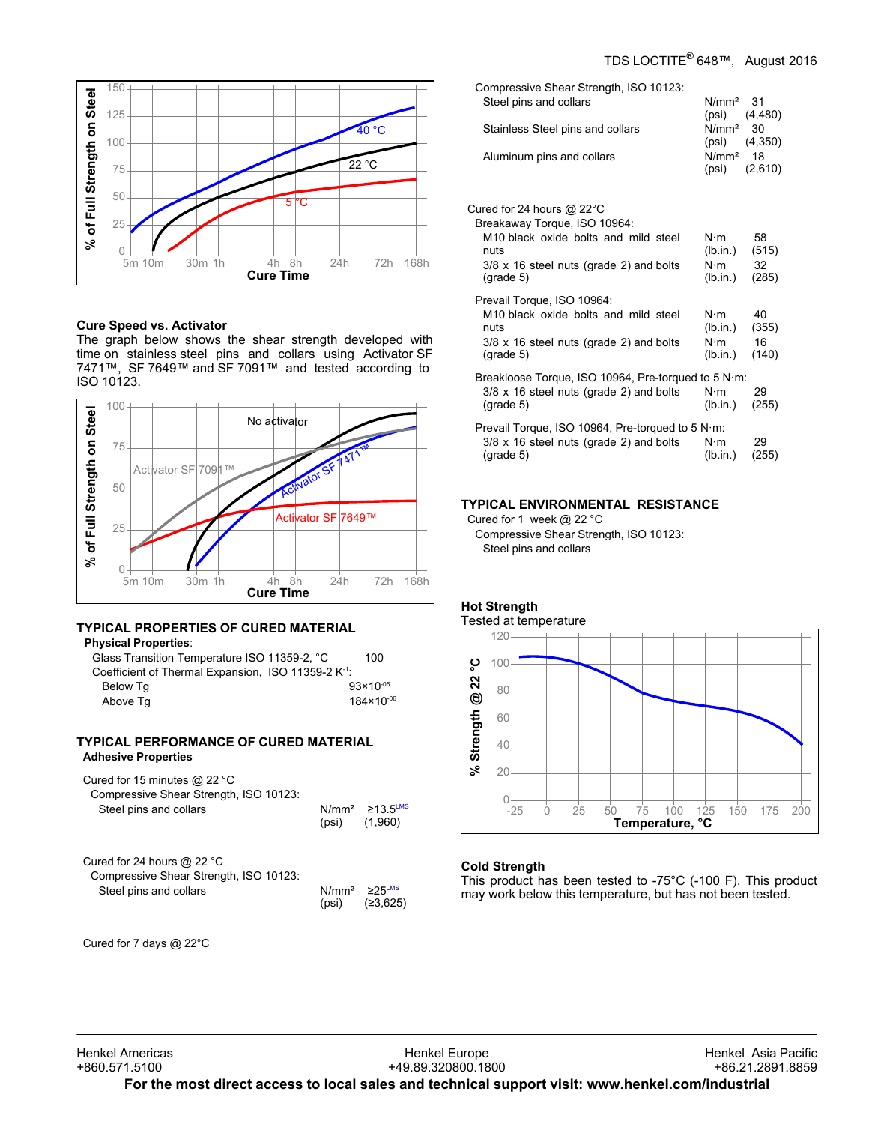

#### **Cure Speed vs. Activator**

**The greed vs. Activator**<br>The graph below shows the shear strength developed with time on stainless steel pins and collars using Activator SF 7471™, SF 7649™ and SF 7091™ and tested according to ISO 10123.



# **TYPICAL PROPERTIES OF CURED MATERIAL**

**Physical Properties**: Glass

| Glass Transition Temperature ISO 11359-2, °C                    | 100                   |
|-----------------------------------------------------------------|-----------------------|
| Coefficient of Thermal Expansion, ISO 11359-2 K <sup>-1</sup> : |                       |
| Below Tq                                                        | $93 \times 10^{-06}$  |
| Above Tq                                                        | $184 \times 10^{-06}$ |
|                                                                 |                       |

#### **TYPICAL PERFORMANCE OF CURED MATERIAL Adhesive Properties**

| Cured for 15 minutes $@$ 22 °C<br>Compressive Shear Strength, ISO 10123:<br>Steel pins and collars |       | $N/mm^2$ 213.5 <sup>LMS</sup><br>$(psi)$ $(1,960)$ |
|----------------------------------------------------------------------------------------------------|-------|----------------------------------------------------|
| Cured for 24 hours $@$ 22 °C<br>Compressive Shear Strength, ISO 10123:<br>Steel pins and collars   | (psi) | $N/mm^2$ $\geq$ 25 <sup>LMS</sup><br>(≥3,625)      |

Cured for 7 days @ 22°C

| Compressive Shear Strength, ISO 10123:<br>Steel pins and collars<br>Stainless Steel pins and collars<br>Aluminum pins and collars                                                               | N/mm <sup>2</sup><br>(psi)<br>N/mm <sup>2</sup><br>(psi)<br>N/mm <sup>2</sup><br>(psi) | 31<br>(4, 480)<br>30<br>(4,350)<br>18<br>(2,610) |
|-------------------------------------------------------------------------------------------------------------------------------------------------------------------------------------------------|----------------------------------------------------------------------------------------|--------------------------------------------------|
| Cured for 24 hours $@$ 22 $^{\circ}$ C<br>Breakaway Torque, ISO 10964:<br>M10 black oxide bolts and mild steel<br>nuts<br>$3/8 \times 16$ steel nuts (grade 2) and bolts<br>$(\text{grade } 5)$ | N∙m<br>(lb.in.)<br>$N \cdot m$<br>(lb.in.)                                             | 58<br>(515)<br>32<br>(285)                       |
| Prevail Torque, ISO 10964:<br>M <sub>10</sub> black oxide bolts and mild steel<br>nuts<br>$3/8 \times 16$ steel nuts (grade 2) and bolts<br>$(\text{grade } 5)$                                 | N∙m<br>(lb.in.)<br>$N \cdot m$<br>(lb.in.)                                             | 40<br>(355)<br>16<br>(140)                       |
| Breakloose Torque, ISO 10964, Pre-torqued to 5 N·m:<br>$3/8 \times 16$ steel nuts (grade 2) and bolts<br>$(\text{grade } 5)$                                                                    | $N \cdot m$<br>(lb.in.)                                                                | 29<br>(255)                                      |
| Prevail Torque, ISO 10964, Pre-torqued to 5 N·m:<br>$3/8 \times 16$ steel nuts (grade 2) and bolts<br>$(\text{grade } 5)$                                                                       | $N \cdot m$<br>(lb.in.)                                                                | 29<br>(255)                                      |

# **TYPICAL ENVIRONMENTAL RESISTANCE**

Cured for 1 week @ 22 °C Compressive Shear Strength, ISO 10123: Steel pins and collars



### **Cold Strength**

This product has been tested to -75°C (-100 F). This product may product has been tested to  $75\,\mathrm{C}$  (10017). This product has been tested.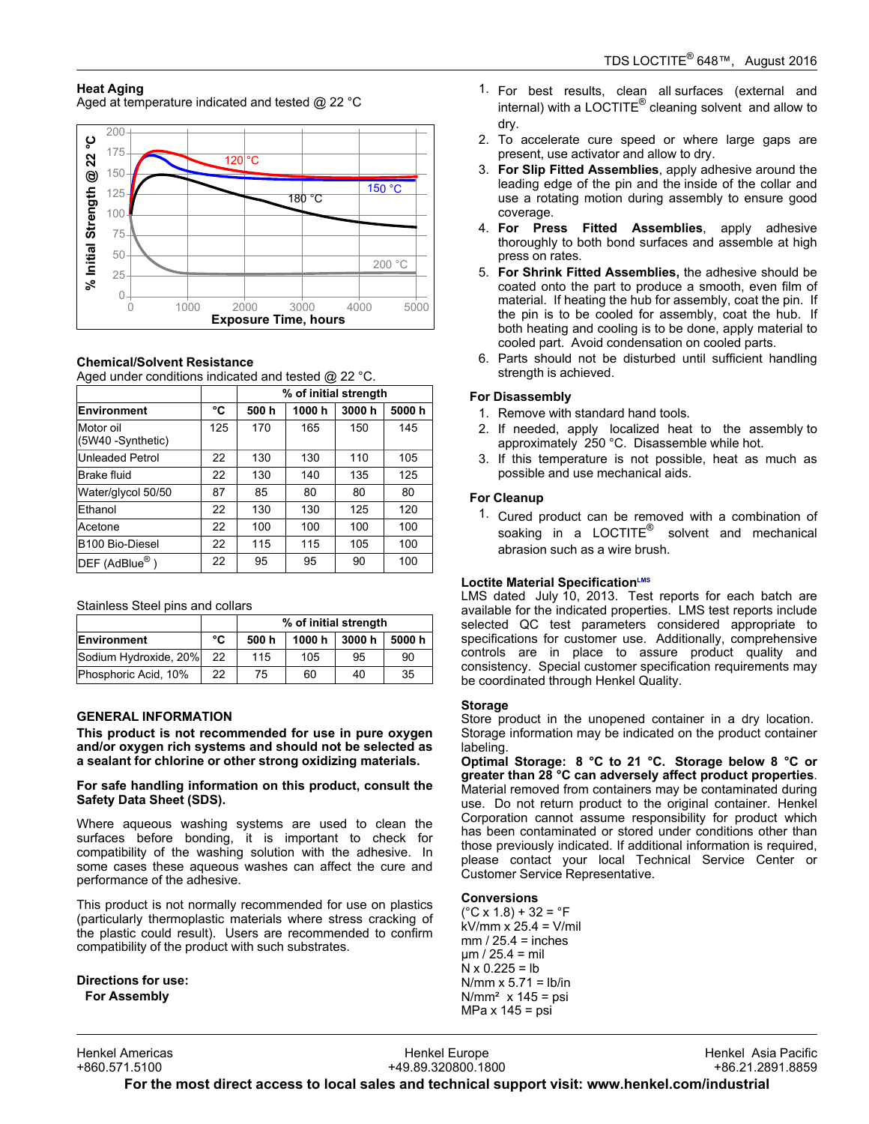# **Heat Aging**

Aged at temperature indicated and tested @ 22 °C



# **Chemical/Solvent Resistance**

Aged under conditions indicated and tested @ 22 °C.

|                                |     |      | % of initial strength |       |       |
|--------------------------------|-----|------|-----------------------|-------|-------|
| <b>Environment</b>             | °C  | 500h | 1000h                 | 3000h | 5000h |
| Motor oil<br>(5W40 -Synthetic) | 125 | 170  | 165                   | 150   | 145   |
| <b>Unleaded Petrol</b>         | 22  | 130  | 130                   | 110   | 105   |
| Brake fluid                    | 22  | 130  | 140                   | 135   | 125   |
| Water/glycol 50/50             | 87  | 85   | 80                    | 80    | 80    |
| Ethanol                        | 22  | 130  | 130                   | 125   | 120   |
| Acetone                        | 22  | 100  | 100                   | 100   | 100   |
| B <sub>100</sub> Bio-Diesel    | 22  | 115  | 115                   | 105   | 100   |
| DEF (AdBlue <sup>®</sup> )     | 22  | 95   | 95                    | 90    | 100   |

Stainless Steel pins and collars

|                       |    | % of initial strength |        |       |       |
|-----------------------|----|-----------------------|--------|-------|-------|
| Environment           | °C | 500 h                 | 1000 h | 3000h | 5000h |
| Sodium Hydroxide, 20% | 22 | 115                   | 105    | 95    | 90    |
| Phosphoric Acid, 10%  | 22 | 75                    | 60     | 40    | 35    |

### **GENERAL INFORMATION**

**This product is not recommended for use in pure oxygen and/or oxygen rich systems and should not be selected as a sealant for chlorine or other strong oxidizing materials.**

#### **For safe handling information on this product, consult the Safety Data Sheet (SDS).**

Where aqueous washing systems are used to clean the surfaces before bonding, it is important to check for compatibility of the washing solution with the adhesive. In some cases these aqueous washes can affect the cure and performance of the adhesive.

This product is not normally recommended for use on plastics This product is not normally recommended for use on plastics<br>(particularly thermoplastic materials where stress cracking of the plastic could result). Users are recommended to confirm are plastic codid resulty. Obers are recommentationally

**Directions for use: For Assembly**

- 1. For best results, clean all surfaces (external and internal) with a LOCTITE<sup>®</sup> cleaning solvent and allow to ......<br>dry.
- 2. To accelerate cure speed or where large gaps are present, use activator and allow to dry.
- 3. **For Slip Fitted Assemblies**, apply adhesive around the **Leading Priced Assemblies**, apply addesive around the leading edge of the pin and the inside of the collar and use a rotating motion during assembly to ensure good coverage.
- 4. **For Press Fitted Assemblies**, apply adhesive to thoroughly to both bond surfaces and assemble at high thoroughly to both bond surfaces and assemble at high moroughly to be<br>press on rates.
- 5. **For Shrink Fitted Assemblies,** the adhesive should be coated onto the part to produce a smooth, even film of material. If heating the hub for assembly, coat the pin. If material: if heating the hub for assembly, coat the pin. If<br>the pin is to be cooled for assembly, coat the hub. If are plin is to be cooled for assembly, coat the habit in<br>both heating and cooling is to be done, apply material to cooled part. Avoid condensation on cooled parts.
- 6. Parts should not be disturbed until sufficient handling r arts should not be<br>strength is achieved.

### **For Disassembly**

- <sub>2</sub>. *Disassemary*<br>1. Remove with standard hand tools.
- 2. If needed, apply localized heat to the assembly to approximately 250 °C. Disassemble while hot.
- 3. If this temperature is not possible, heat as much as m and temperature is not possible and use mechanical aids.

# **For Cleanup**

1. Cured product can be removed with a combination of soaking in a LOCTITE<sup>®</sup> solvent and mechanical solution abrasion such as a wire brush.

#### **Loctite Material SpecificationLMS**

LMS dated July-10, 2013. Test reports for each batch are available for the indicated properties. LMS test reports include selected QC test parameters considered appropriate to specifications for customer use. Additionally, comprehensive controls are in place to assure product quality and consistency. Special customer specification requirements may be coordinated through Henkel Quality.

#### **Storage**

Store product in the unopened container in a dry location. Storage information may be indicated on the product container labeling.

**Optimal Storage: 8 °C to 21 °C. Storage below 8 °C or greater than 28 °C can adversely affect product properties**. greater than 20 S can adversely affect product properties.<br>Material removed from containers may be contaminated during use. Do not return product to the original container. Henkel ase. Be not retain product to the original container. Hence<br>Corporation cannot assume responsibility for product which has been contaminated or stored under conditions other than those previously indicated. If additional information is required, mose previously indicated. If additional information is required,<br>please contact your local Technical Service Center or Customer Service Representative.

#### **Conversions**

(°C x 1.8) + 32 = °F kV/mm x 25.4 = V/mil mm / 25.4 = inches µm / 25.4 = mil N x 0.225 = lb N/mm x 5.71 = lb/in N/mm² x 145 = psi MPa x 145 = psi